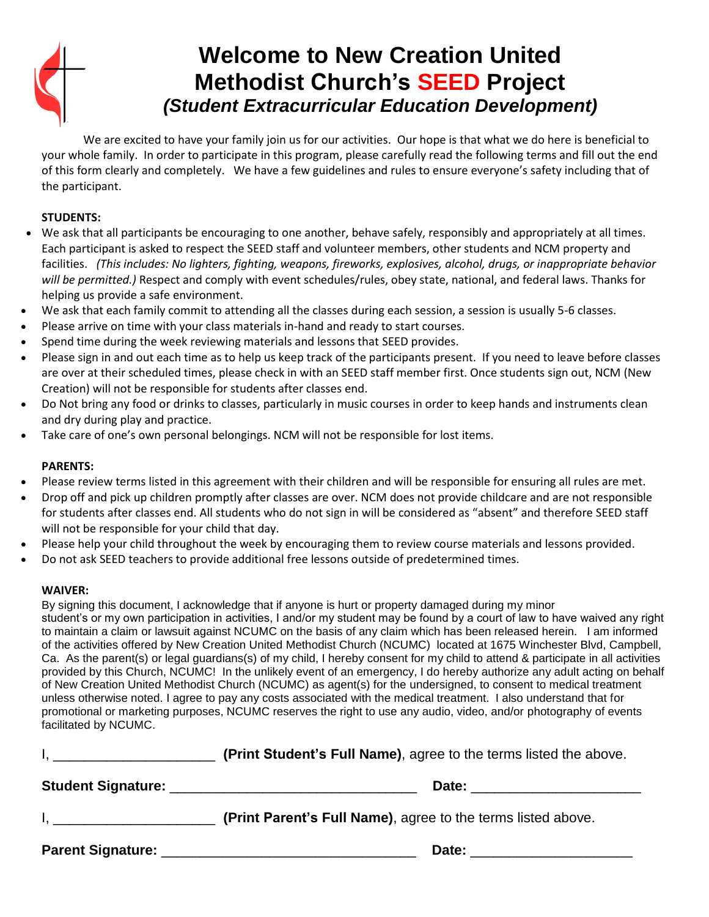

## **Welcome to New Creation United Methodist Church's SEED Project** *(Student Extracurricular Education Development)*

We are excited to have your family join us for our activities. Our hope is that what we do here is beneficial to your whole family. In order to participate in this program, please carefully read the following terms and fill out the end of this form clearly and completely. We have a few guidelines and rules to ensure everyone's safety including that of the participant.

### **STUDENTS:**

- We ask that all participants be encouraging to one another, behave safely, responsibly and appropriately at all times. Each participant is asked to respect the SEED staff and volunteer members, other students and NCM property and facilities. *(This includes: No lighters, fighting, weapons, fireworks, explosives, alcohol, drugs, or inappropriate behavior will be permitted.)* Respect and comply with event schedules/rules, obey state, national, and federal laws. Thanks for helping us provide a safe environment.
- We ask that each family commit to attending all the classes during each session, a session is usually 5-6 classes.
- Please arrive on time with your class materials in-hand and ready to start courses.
- Spend time during the week reviewing materials and lessons that SEED provides.
- Please sign in and out each time as to help us keep track of the participants present. If you need to leave before classes are over at their scheduled times, please check in with an SEED staff member first. Once students sign out, NCM (New Creation) will not be responsible for students after classes end.
- Do Not bring any food or drinks to classes, particularly in music courses in order to keep hands and instruments clean and dry during play and practice.
- Take care of one's own personal belongings. NCM will not be responsible for lost items.

#### **PARENTS:**

- Please review terms listed in this agreement with their children and will be responsible for ensuring all rules are met.
- Drop off and pick up children promptly after classes are over. NCM does not provide childcare and are not responsible for students after classes end. All students who do not sign in will be considered as "absent" and therefore SEED staff will not be responsible for your child that day.
- Please help your child throughout the week by encouraging them to review course materials and lessons provided.
- Do not ask SEED teachers to provide additional free lessons outside of predetermined times.

#### **WAIVER:**

By signing this document, I acknowledge that if anyone is hurt or property damaged during my minor student's or my own participation in activities, I and/or my student may be found by a court of law to have waived any right to maintain a claim or lawsuit against NCUMC on the basis of any claim which has been released herein. I am informed of the activities offered by New Creation United Methodist Church (NCUMC) located at 1675 Winchester Blvd, Campbell, Ca. As the parent(s) or legal guardians(s) of my child, I hereby consent for my child to attend & participate in all activities provided by this Church, NCUMC! In the unlikely event of an emergency, I do hereby authorize any adult acting on behalf of New Creation United Methodist Church (NCUMC) as agent(s) for the undersigned, to consent to medical treatment unless otherwise noted. I agree to pay any costs associated with the medical treatment. I also understand that for promotional or marketing purposes, NCUMC reserves the right to use any audio, video, and/or photography of events facilitated by NCUMC.

| <b>Student Signature:</b> | Date:                                                        |  |  |
|---------------------------|--------------------------------------------------------------|--|--|
|                           | (Print Parent's Full Name), agree to the terms listed above. |  |  |
| <b>Parent Signature:</b>  | Date:                                                        |  |  |